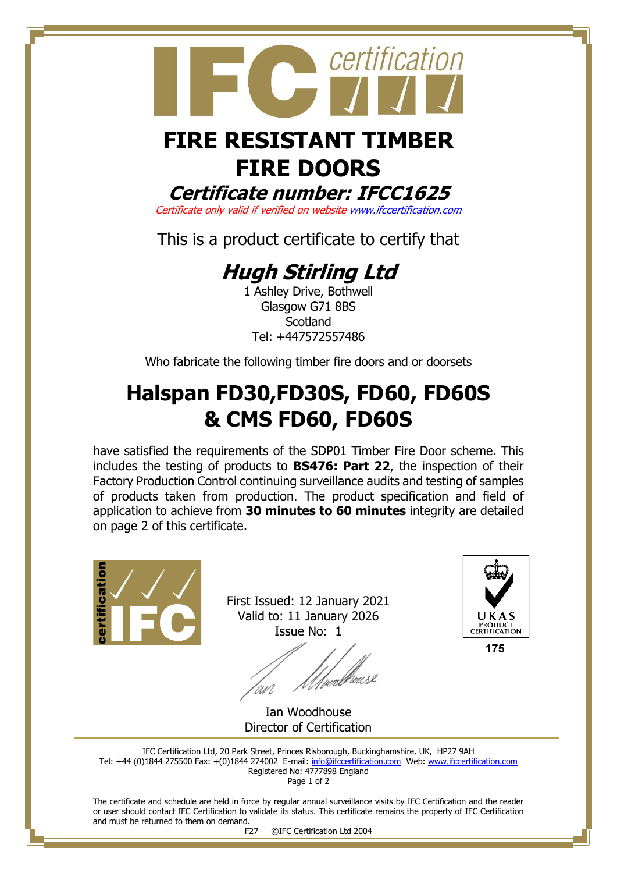

## **FIRE DOORS**

**Certificate number: IFCC1625**

Certificate only valid if verified on websit[e www.ifccertification.com](http://www.ifccertification.com/)

This is a product certificate to certify that

## **Hugh Stirling Ltd**

1 Ashley Drive, Bothwell Glasgow G71 8BS **Scotland** Tel: +447572557486

Who fabricate the following timber fire doors and or doorsets

## **Halspan FD30,FD30S, FD60, FD60S & CMS FD60, FD60S**

have satisfied the requirements of the SDP01 Timber Fire Door scheme. This includes the testing of products to **BS476: Part 22**, the inspection of their Factory Production Control continuing surveillance audits and testing of samples of products taken from production. The product specification and field of application to achieve from **30 minutes to 60 minutes** integrity are detailed on page 2 of this certificate.



First Issued: 12 January 2021 Valid to: 11 January 2026 Issue No: 1

*Ulve*rbrouse



175

Ian Woodhouse Director of Certification

IFC Certification Ltd, 20 Park Street, Princes Risborough, Buckinghamshire. UK, HP27 9AH Tel: +44 (0)1844 275500 Fax: +(0)1844 274002 E-mail[: info@ifccertification.com](mailto:info@ifccertification.com) Web: [www.ifccertification.com](http://www.ifccertification.com/) Registered No: 4777898 England

Page 1 of 2

The certificate and schedule are held in force by regular annual surveillance visits by IFC Certification and the reader or user should contact IFC Certification to validate its status. This certificate remains the property of IFC Certification and must be returned to them on demand.

F27 ©IFC Certification Ltd 2004